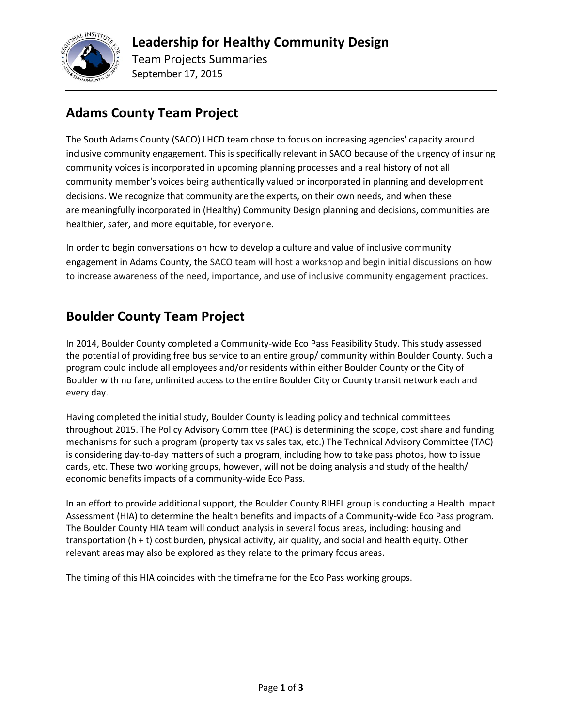

#### **Adams County Team Project**

The South Adams County (SACO) LHCD team chose to focus on increasing agencies' capacity around inclusive community engagement. This is specifically relevant in SACO because of the urgency of insuring community voices is incorporated in upcoming planning processes and a real history of not all community member's voices being authentically valued or incorporated in planning and development decisions. We recognize that community are the experts, on their own needs, and when these are meaningfully incorporated in (Healthy) Community Design planning and decisions, communities are healthier, safer, and more equitable, for everyone.

In order to begin conversations on how to develop a culture and value of inclusive community engagement in Adams County, the SACO team will host a workshop and begin initial discussions on how to increase awareness of the need, importance, and use of inclusive community engagement practices.

## **Boulder County Team Project**

In 2014, Boulder County completed a Community-wide Eco Pass Feasibility Study. This study assessed the potential of providing free bus service to an entire group/ community within Boulder County. Such a program could include all employees and/or residents within either Boulder County or the City of Boulder with no fare, unlimited access to the entire Boulder City or County transit network each and every day.

Having completed the initial study, Boulder County is leading policy and technical committees throughout 2015. The Policy Advisory Committee (PAC) is determining the scope, cost share and funding mechanisms for such a program (property tax vs sales tax, etc.) The Technical Advisory Committee (TAC) is considering day-to-day matters of such a program, including how to take pass photos, how to issue cards, etc. These two working groups, however, will not be doing analysis and study of the health/ economic benefits impacts of a community-wide Eco Pass.

In an effort to provide additional support, the Boulder County RIHEL group is conducting a Health Impact Assessment (HIA) to determine the health benefits and impacts of a Community-wide Eco Pass program. The Boulder County HIA team will conduct analysis in several focus areas, including: housing and transportation (h + t) cost burden, physical activity, air quality, and social and health equity. Other relevant areas may also be explored as they relate to the primary focus areas.

The timing of this HIA coincides with the timeframe for the Eco Pass working groups.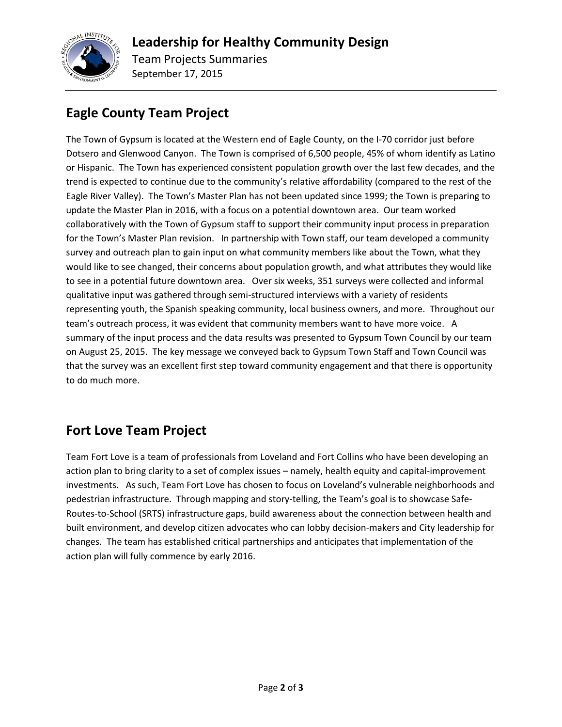

## **Eagle County Team Project**

The Town of Gypsum is located at the Western end of Eagle County, on the I-70 corridor just before Dotsero and Glenwood Canyon. The Town is comprised of 6,500 people, 45% of whom identify as Latino or Hispanic. The Town has experienced consistent population growth over the last few decades, and the trend is expected to continue due to the community's relative affordability (compared to the rest of the Eagle River Valley). The Town's Master Plan has not been updated since 1999; the Town is preparing to update the Master Plan in 2016, with a focus on a potential downtown area. Our team worked collaboratively with the Town of Gypsum staff to support their community input process in preparation for the Town's Master Plan revision. In partnership with Town staff, our team developed a community survey and outreach plan to gain input on what community members like about the Town, what they would like to see changed, their concerns about population growth, and what attributes they would like to see in a potential future downtown area. Over six weeks, 351 surveys were collected and informal qualitative input was gathered through semi-structured interviews with a variety of residents representing youth, the Spanish speaking community, local business owners, and more. Throughout our team's outreach process, it was evident that community members want to have more voice. A summary of the input process and the data results was presented to Gypsum Town Council by our team on August 25, 2015. The key message we conveyed back to Gypsum Town Staff and Town Council was that the survey was an excellent first step toward community engagement and that there is opportunity to do much more.

#### **Fort Love Team Project**

Team Fort Love is a team of professionals from Loveland and Fort Collins who have been developing an action plan to bring clarity to a set of complex issues – namely, health equity and capital-improvement investments. As such, Team Fort Love has chosen to focus on Loveland's vulnerable neighborhoods and pedestrian infrastructure. Through mapping and story-telling, the Team's goal is to showcase Safe-Routes-to-School (SRTS) infrastructure gaps, build awareness about the connection between health and built environment, and develop citizen advocates who can lobby decision-makers and City leadership for changes. The team has established critical partnerships and anticipates that implementation of the action plan will fully commence by early 2016.